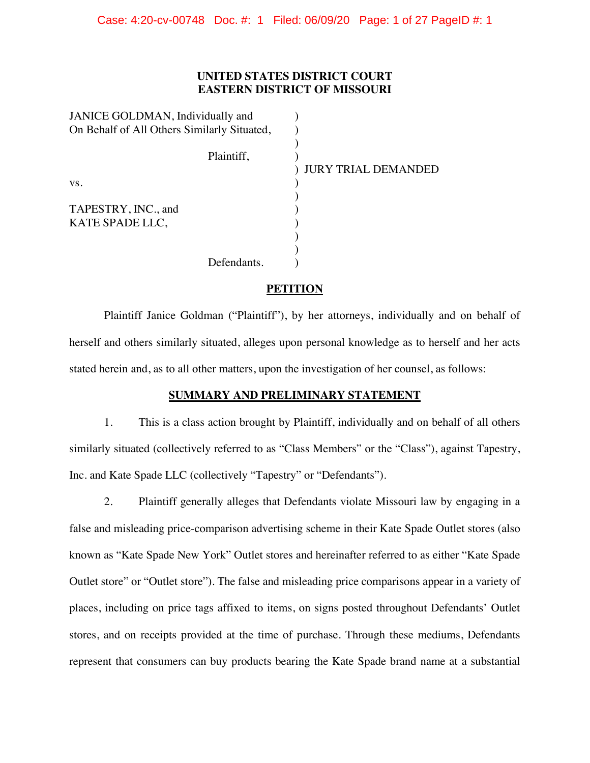# **UNITED STATES DISTRICT COURT EASTERN DISTRICT OF MISSOURI**

| JANICE GOLDMAN, Individually and            |             |                       |
|---------------------------------------------|-------------|-----------------------|
| On Behalf of All Others Similarly Situated, |             |                       |
|                                             | Plaintiff,  | ) JURY TRIAL DEMANDED |
| VS.                                         |             |                       |
| TAPESTRY, INC., and<br>KATE SPADE LLC,      |             |                       |
|                                             |             |                       |
|                                             | Defendants. |                       |

# **PETITION**

Plaintiff Janice Goldman ("Plaintiff"), by her attorneys, individually and on behalf of herself and others similarly situated, alleges upon personal knowledge as to herself and her acts stated herein and, as to all other matters, upon the investigation of her counsel, as follows:

## **SUMMARY AND PRELIMINARY STATEMENT**

1. This is a class action brought by Plaintiff, individually and on behalf of all others similarly situated (collectively referred to as "Class Members" or the "Class"), against Tapestry, Inc. and Kate Spade LLC (collectively "Tapestry" or "Defendants").

2. Plaintiff generally alleges that Defendants violate Missouri law by engaging in a false and misleading price-comparison advertising scheme in their Kate Spade Outlet stores (also known as "Kate Spade New York" Outlet stores and hereinafter referred to as either "Kate Spade Outlet store" or "Outlet store"). The false and misleading price comparisons appear in a variety of places, including on price tags affixed to items, on signs posted throughout Defendants' Outlet stores, and on receipts provided at the time of purchase. Through these mediums, Defendants represent that consumers can buy products bearing the Kate Spade brand name at a substantial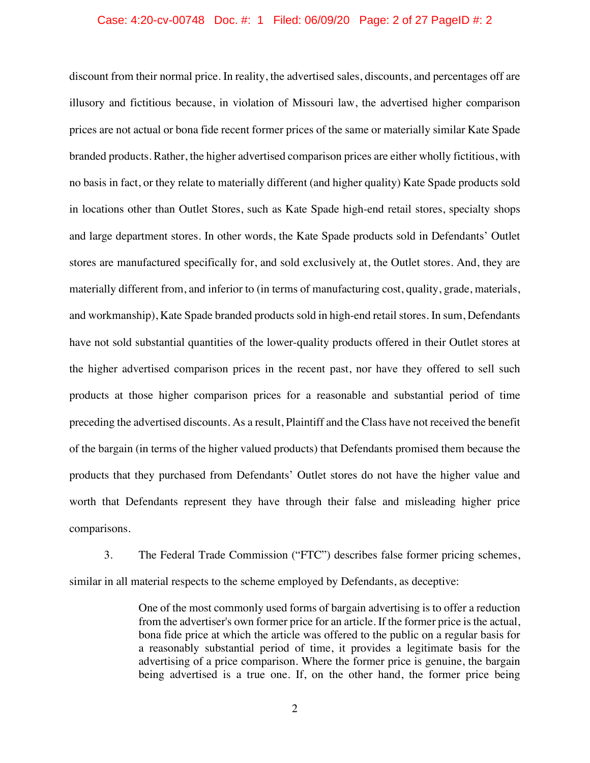### Case: 4:20-cv-00748 Doc. #: 1 Filed: 06/09/20 Page: 2 of 27 PageID #: 2

discount from their normal price. In reality, the advertised sales, discounts, and percentages off are illusory and fictitious because, in violation of Missouri law, the advertised higher comparison prices are not actual or bona fide recent former prices of the same or materially similar Kate Spade branded products. Rather, the higher advertised comparison prices are either wholly fictitious, with no basis in fact, or they relate to materially different (and higher quality) Kate Spade products sold in locations other than Outlet Stores, such as Kate Spade high-end retail stores, specialty shops and large department stores. In other words, the Kate Spade products sold in Defendants' Outlet stores are manufactured specifically for, and sold exclusively at, the Outlet stores. And, they are materially different from, and inferior to (in terms of manufacturing cost, quality, grade, materials, and workmanship), Kate Spade branded products sold in high-end retail stores. In sum, Defendants have not sold substantial quantities of the lower-quality products offered in their Outlet stores at the higher advertised comparison prices in the recent past, nor have they offered to sell such products at those higher comparison prices for a reasonable and substantial period of time preceding the advertised discounts. As a result, Plaintiff and the Class have not received the benefit of the bargain (in terms of the higher valued products) that Defendants promised them because the products that they purchased from Defendants' Outlet stores do not have the higher value and worth that Defendants represent they have through their false and misleading higher price comparisons.

3. The Federal Trade Commission ("FTC") describes false former pricing schemes, similar in all material respects to the scheme employed by Defendants, as deceptive:

> One of the most commonly used forms of bargain advertising is to offer a reduction from the advertiser's own former price for an article. If the former price is the actual, bona fide price at which the article was offered to the public on a regular basis for a reasonably substantial period of time, it provides a legitimate basis for the advertising of a price comparison. Where the former price is genuine, the bargain being advertised is a true one. If, on the other hand, the former price being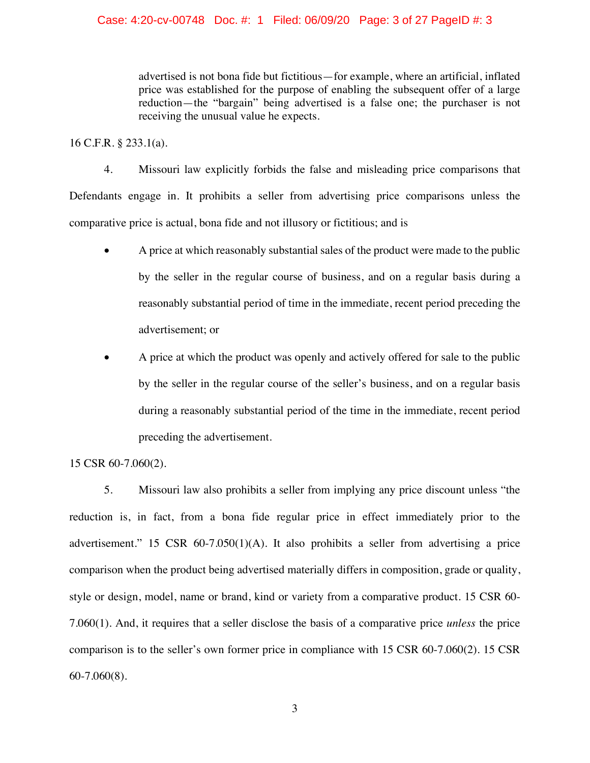advertised is not bona fide but fictitious—for example, where an artificial, inflated price was established for the purpose of enabling the subsequent offer of a large reduction—the "bargain" being advertised is a false one; the purchaser is not receiving the unusual value he expects.

16 C.F.R. § 233.1(a).

4. Missouri law explicitly forbids the false and misleading price comparisons that Defendants engage in. It prohibits a seller from advertising price comparisons unless the comparative price is actual, bona fide and not illusory or fictitious; and is

- A price at which reasonably substantial sales of the product were made to the public by the seller in the regular course of business, and on a regular basis during a reasonably substantial period of time in the immediate, recent period preceding the advertisement; or
- x A price at which the product was openly and actively offered for sale to the public by the seller in the regular course of the seller's business, and on a regular basis during a reasonably substantial period of the time in the immediate, recent period preceding the advertisement.

15 CSR 60-7.060(2).

5. Missouri law also prohibits a seller from implying any price discount unless "the reduction is, in fact, from a bona fide regular price in effect immediately prior to the advertisement." 15 CSR 60-7.050(1)(A). It also prohibits a seller from advertising a price comparison when the product being advertised materially differs in composition, grade or quality, style or design, model, name or brand, kind or variety from a comparative product. 15 CSR 60- 7.060(1). And, it requires that a seller disclose the basis of a comparative price *unless* the price comparison is to the seller's own former price in compliance with 15 CSR 60-7.060(2). 15 CSR 60-7.060(8).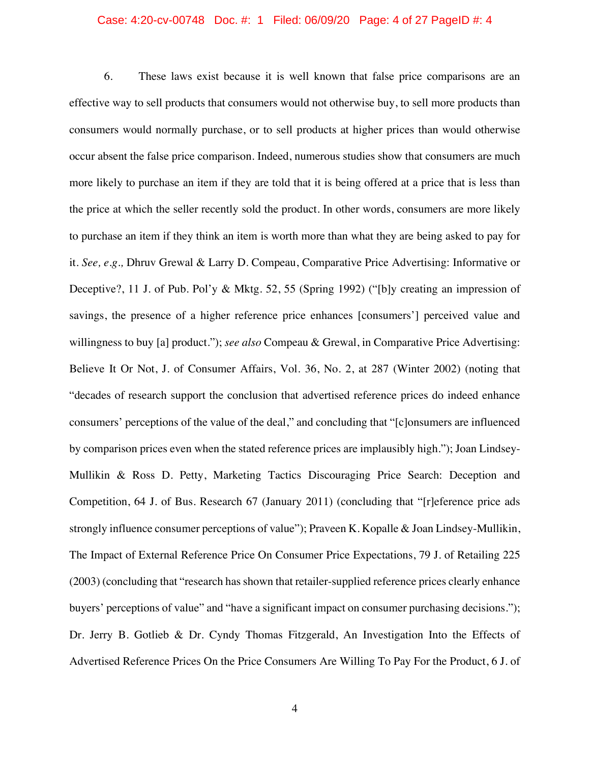### Case: 4:20-cv-00748 Doc. #: 1 Filed: 06/09/20 Page: 4 of 27 PageID #: 4

6. These laws exist because it is well known that false price comparisons are an effective way to sell products that consumers would not otherwise buy, to sell more products than consumers would normally purchase, or to sell products at higher prices than would otherwise occur absent the false price comparison. Indeed, numerous studies show that consumers are much more likely to purchase an item if they are told that it is being offered at a price that is less than the price at which the seller recently sold the product. In other words, consumers are more likely to purchase an item if they think an item is worth more than what they are being asked to pay for it. *See, e.g.,* Dhruv Grewal & Larry D. Compeau, Comparative Price Advertising: Informative or Deceptive?, 11 J. of Pub. Pol'y & Mktg. 52, 55 (Spring 1992) ("[b]y creating an impression of savings, the presence of a higher reference price enhances [consumers'] perceived value and willingness to buy [a] product."); *see also* Compeau & Grewal, in Comparative Price Advertising: Believe It Or Not, J. of Consumer Affairs, Vol. 36, No. 2, at 287 (Winter 2002) (noting that "decades of research support the conclusion that advertised reference prices do indeed enhance consumers' perceptions of the value of the deal," and concluding that "[c]onsumers are influenced by comparison prices even when the stated reference prices are implausibly high."); Joan Lindsey-Mullikin & Ross D. Petty, Marketing Tactics Discouraging Price Search: Deception and Competition, 64 J. of Bus. Research 67 (January 2011) (concluding that "[r]eference price ads strongly influence consumer perceptions of value"); Praveen K. Kopalle & Joan Lindsey-Mullikin, The Impact of External Reference Price On Consumer Price Expectations, 79 J. of Retailing 225 (2003) (concluding that "research has shown that retailer-supplied reference prices clearly enhance buyers' perceptions of value" and "have a significant impact on consumer purchasing decisions."); Dr. Jerry B. Gotlieb & Dr. Cyndy Thomas Fitzgerald, An Investigation Into the Effects of Advertised Reference Prices On the Price Consumers Are Willing To Pay For the Product, 6 J. of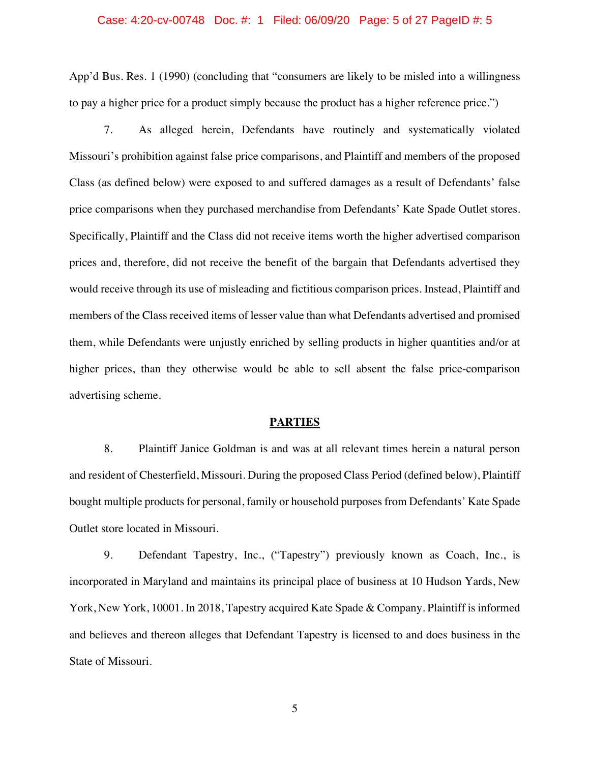### Case: 4:20-cv-00748 Doc. #: 1 Filed: 06/09/20 Page: 5 of 27 PageID #: 5

App'd Bus. Res. 1 (1990) (concluding that "consumers are likely to be misled into a willingness to pay a higher price for a product simply because the product has a higher reference price.")

7. As alleged herein, Defendants have routinely and systematically violated Missouri's prohibition against false price comparisons, and Plaintiff and members of the proposed Class (as defined below) were exposed to and suffered damages as a result of Defendants' false price comparisons when they purchased merchandise from Defendants' Kate Spade Outlet stores. Specifically, Plaintiff and the Class did not receive items worth the higher advertised comparison prices and, therefore, did not receive the benefit of the bargain that Defendants advertised they would receive through its use of misleading and fictitious comparison prices. Instead, Plaintiff and members of the Class received items of lesser value than what Defendants advertised and promised them, while Defendants were unjustly enriched by selling products in higher quantities and/or at higher prices, than they otherwise would be able to sell absent the false price-comparison advertising scheme.

### **PARTIES**

8. Plaintiff Janice Goldman is and was at all relevant times herein a natural person and resident of Chesterfield, Missouri. During the proposed Class Period (defined below), Plaintiff bought multiple products for personal, family or household purposes from Defendants' Kate Spade Outlet store located in Missouri.

9. Defendant Tapestry, Inc., ("Tapestry") previously known as Coach, Inc., is incorporated in Maryland and maintains its principal place of business at 10 Hudson Yards, New York, New York, 10001. In 2018, Tapestry acquired Kate Spade & Company. Plaintiff is informed and believes and thereon alleges that Defendant Tapestry is licensed to and does business in the State of Missouri.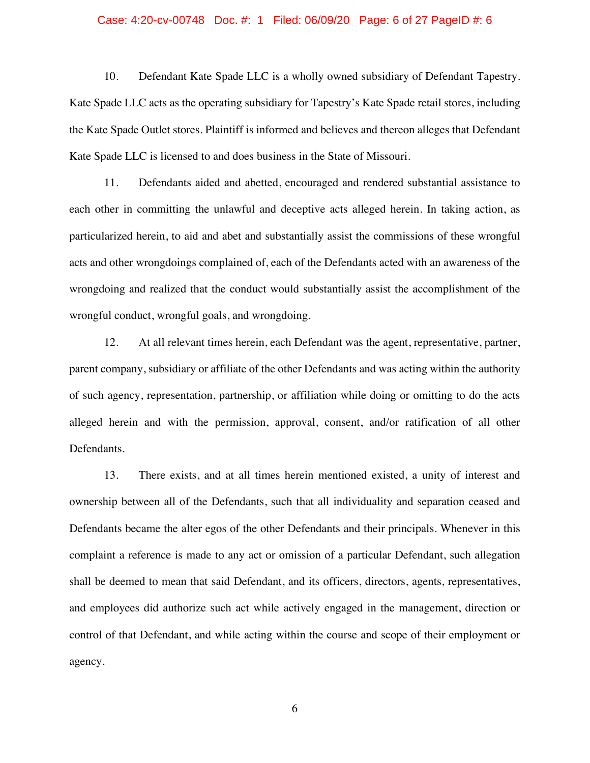### Case: 4:20-cv-00748 Doc. #: 1 Filed: 06/09/20 Page: 6 of 27 PageID #: 6

10. Defendant Kate Spade LLC is a wholly owned subsidiary of Defendant Tapestry. Kate Spade LLC acts as the operating subsidiary for Tapestry's Kate Spade retail stores, including the Kate Spade Outlet stores. Plaintiff is informed and believes and thereon alleges that Defendant Kate Spade LLC is licensed to and does business in the State of Missouri.

11. Defendants aided and abetted, encouraged and rendered substantial assistance to each other in committing the unlawful and deceptive acts alleged herein. In taking action, as particularized herein, to aid and abet and substantially assist the commissions of these wrongful acts and other wrongdoings complained of, each of the Defendants acted with an awareness of the wrongdoing and realized that the conduct would substantially assist the accomplishment of the wrongful conduct, wrongful goals, and wrongdoing.

12. At all relevant times herein, each Defendant was the agent, representative, partner, parent company, subsidiary or affiliate of the other Defendants and was acting within the authority of such agency, representation, partnership, or affiliation while doing or omitting to do the acts alleged herein and with the permission, approval, consent, and/or ratification of all other Defendants.

13. There exists, and at all times herein mentioned existed, a unity of interest and ownership between all of the Defendants, such that all individuality and separation ceased and Defendants became the alter egos of the other Defendants and their principals. Whenever in this complaint a reference is made to any act or omission of a particular Defendant, such allegation shall be deemed to mean that said Defendant, and its officers, directors, agents, representatives, and employees did authorize such act while actively engaged in the management, direction or control of that Defendant, and while acting within the course and scope of their employment or agency.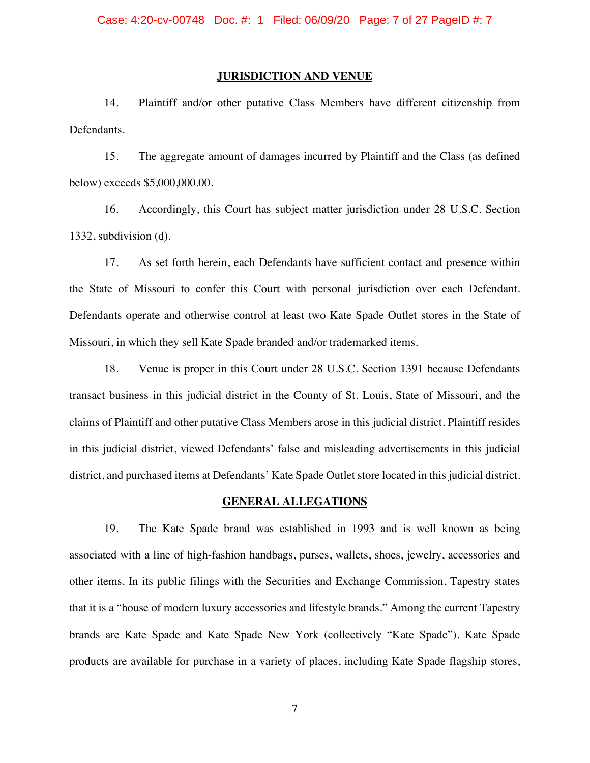### **JURISDICTION AND VENUE**

14. Plaintiff and/or other putative Class Members have different citizenship from Defendants.

15. The aggregate amount of damages incurred by Plaintiff and the Class (as defined below) exceeds \$5,000,000.00.

16. Accordingly, this Court has subject matter jurisdiction under 28 U.S.C. Section 1332, subdivision (d).

17. As set forth herein, each Defendants have sufficient contact and presence within the State of Missouri to confer this Court with personal jurisdiction over each Defendant. Defendants operate and otherwise control at least two Kate Spade Outlet stores in the State of Missouri, in which they sell Kate Spade branded and/or trademarked items.

18. Venue is proper in this Court under 28 U.S.C. Section 1391 because Defendants transact business in this judicial district in the County of St. Louis, State of Missouri, and the claims of Plaintiff and other putative Class Members arose in this judicial district. Plaintiff resides in this judicial district, viewed Defendants' false and misleading advertisements in this judicial district, and purchased items at Defendants' Kate Spade Outlet store located in this judicial district.

### **GENERAL ALLEGATIONS**

19. The Kate Spade brand was established in 1993 and is well known as being associated with a line of high-fashion handbags, purses, wallets, shoes, jewelry, accessories and other items. In its public filings with the Securities and Exchange Commission, Tapestry states that it is a "house of modern luxury accessories and lifestyle brands." Among the current Tapestry brands are Kate Spade and Kate Spade New York (collectively "Kate Spade"). Kate Spade products are available for purchase in a variety of places, including Kate Spade flagship stores,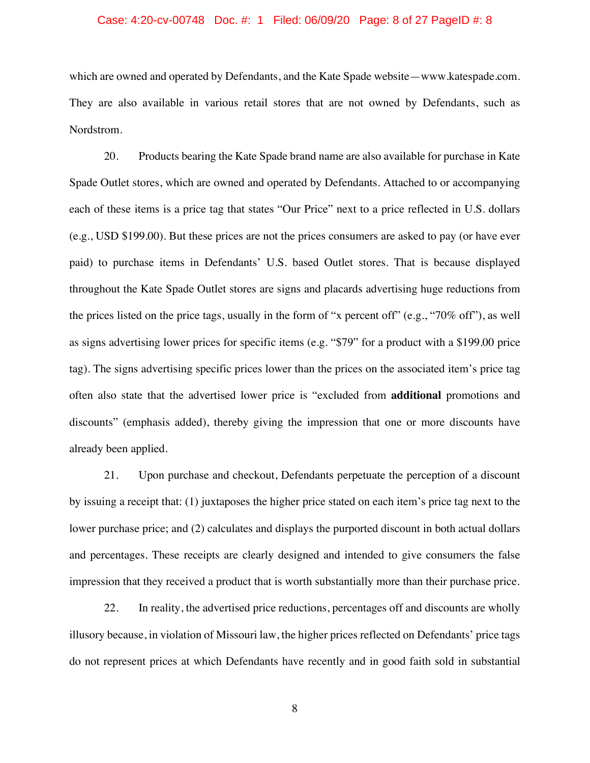### Case: 4:20-cv-00748 Doc. #: 1 Filed: 06/09/20 Page: 8 of 27 PageID #: 8

which are owned and operated by Defendants, and the Kate Spade website—www.katespade.com. They are also available in various retail stores that are not owned by Defendants, such as Nordstrom.

20. Products bearing the Kate Spade brand name are also available for purchase in Kate Spade Outlet stores, which are owned and operated by Defendants. Attached to or accompanying each of these items is a price tag that states "Our Price" next to a price reflected in U.S. dollars (e.g., USD \$199.00). But these prices are not the prices consumers are asked to pay (or have ever paid) to purchase items in Defendants' U.S. based Outlet stores. That is because displayed throughout the Kate Spade Outlet stores are signs and placards advertising huge reductions from the prices listed on the price tags, usually in the form of "x percent off" (e.g., "70% off"), as well as signs advertising lower prices for specific items (e.g. "\$79" for a product with a \$199.00 price tag). The signs advertising specific prices lower than the prices on the associated item's price tag often also state that the advertised lower price is "excluded from **additional** promotions and discounts" (emphasis added), thereby giving the impression that one or more discounts have already been applied.

21. Upon purchase and checkout, Defendants perpetuate the perception of a discount by issuing a receipt that: (1) juxtaposes the higher price stated on each item's price tag next to the lower purchase price; and (2) calculates and displays the purported discount in both actual dollars and percentages. These receipts are clearly designed and intended to give consumers the false impression that they received a product that is worth substantially more than their purchase price.

22. In reality, the advertised price reductions, percentages off and discounts are wholly illusory because, in violation of Missouri law, the higher prices reflected on Defendants' price tags do not represent prices at which Defendants have recently and in good faith sold in substantial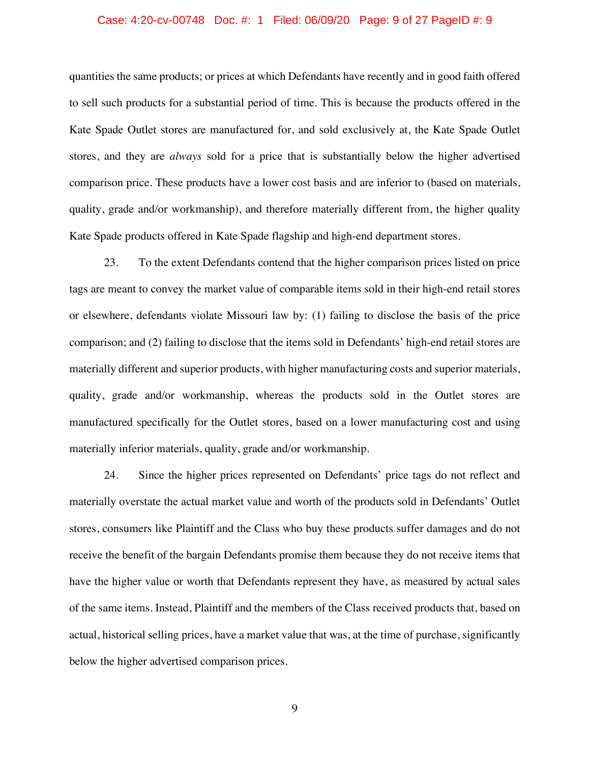## Case: 4:20-cv-00748 Doc. #: 1 Filed: 06/09/20 Page: 9 of 27 PageID #: 9

quantities the same products; or prices at which Defendants have recently and in good faith offered to sell such products for a substantial period of time. This is because the products offered in the Kate Spade Outlet stores are manufactured for, and sold exclusively at, the Kate Spade Outlet stores, and they are *always* sold for a price that is substantially below the higher advertised comparison price. These products have a lower cost basis and are inferior to (based on materials, quality, grade and/or workmanship), and therefore materially different from, the higher quality Kate Spade products offered in Kate Spade flagship and high-end department stores.

23. To the extent Defendants contend that the higher comparison prices listed on price tags are meant to convey the market value of comparable items sold in their high-end retail stores or elsewhere, defendants violate Missouri law by: (1) failing to disclose the basis of the price comparison; and (2) failing to disclose that the items sold in Defendants' high-end retail stores are materially different and superior products, with higher manufacturing costs and superior materials, quality, grade and/or workmanship, whereas the products sold in the Outlet stores are manufactured specifically for the Outlet stores, based on a lower manufacturing cost and using materially inferior materials, quality, grade and/or workmanship.

24. Since the higher prices represented on Defendants' price tags do not reflect and materially overstate the actual market value and worth of the products sold in Defendants' Outlet stores, consumers like Plaintiff and the Class who buy these products suffer damages and do not receive the benefit of the bargain Defendants promise them because they do not receive items that have the higher value or worth that Defendants represent they have, as measured by actual sales of the same items. Instead, Plaintiff and the members of the Class received products that, based on actual, historical selling prices, have a market value that was, at the time of purchase, significantly below the higher advertised comparison prices.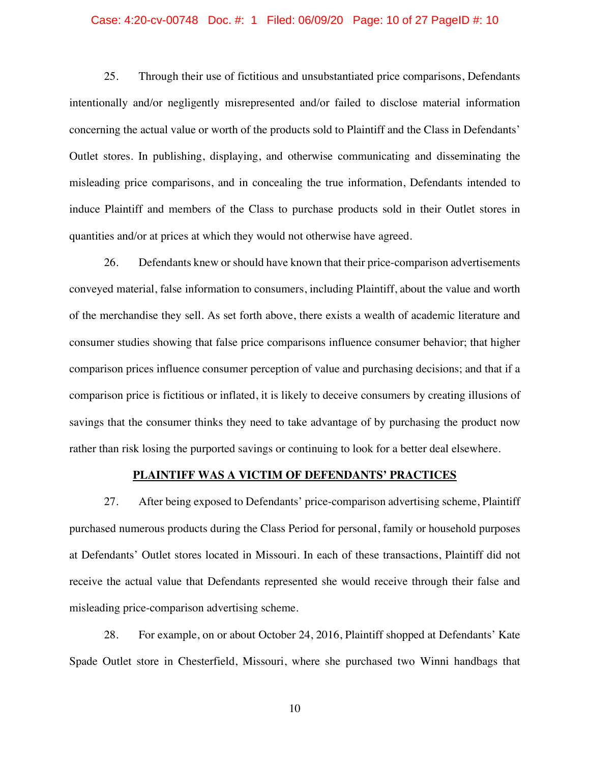#### Case: 4:20-cv-00748 Doc. #: 1 Filed: 06/09/20 Page: 10 of 27 PageID #: 10

25. Through their use of fictitious and unsubstantiated price comparisons, Defendants intentionally and/or negligently misrepresented and/or failed to disclose material information concerning the actual value or worth of the products sold to Plaintiff and the Class in Defendants' Outlet stores. In publishing, displaying, and otherwise communicating and disseminating the misleading price comparisons, and in concealing the true information, Defendants intended to induce Plaintiff and members of the Class to purchase products sold in their Outlet stores in quantities and/or at prices at which they would not otherwise have agreed.

26. Defendants knew or should have known that their price-comparison advertisements conveyed material, false information to consumers, including Plaintiff, about the value and worth of the merchandise they sell. As set forth above, there exists a wealth of academic literature and consumer studies showing that false price comparisons influence consumer behavior; that higher comparison prices influence consumer perception of value and purchasing decisions; and that if a comparison price is fictitious or inflated, it is likely to deceive consumers by creating illusions of savings that the consumer thinks they need to take advantage of by purchasing the product now rather than risk losing the purported savings or continuing to look for a better deal elsewhere.

# **PLAINTIFF WAS A VICTIM OF DEFENDANTS' PRACTICES**

27. After being exposed to Defendants' price-comparison advertising scheme, Plaintiff purchased numerous products during the Class Period for personal, family or household purposes at Defendants' Outlet stores located in Missouri. In each of these transactions, Plaintiff did not receive the actual value that Defendants represented she would receive through their false and misleading price-comparison advertising scheme.

28. For example, on or about October 24, 2016, Plaintiff shopped at Defendants' Kate Spade Outlet store in Chesterfield, Missouri, where she purchased two Winni handbags that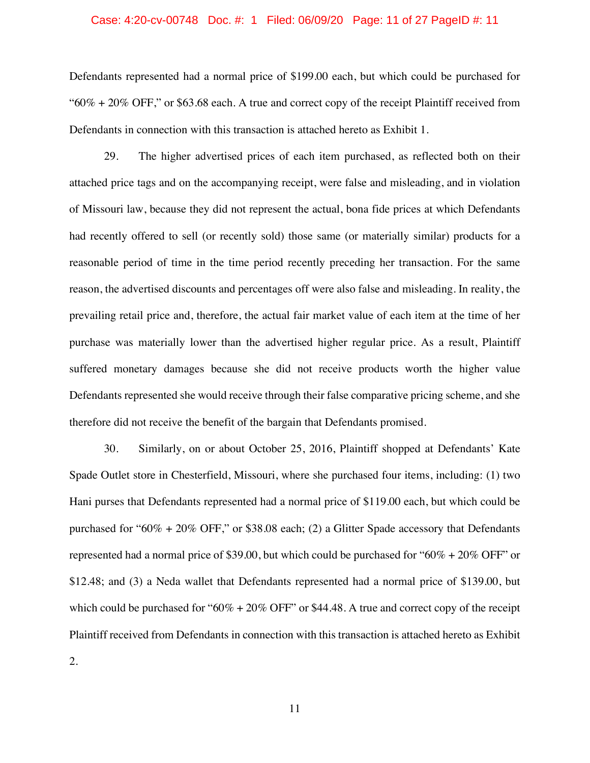### Case: 4:20-cv-00748 Doc. #: 1 Filed: 06/09/20 Page: 11 of 27 PageID #: 11

Defendants represented had a normal price of \$199.00 each, but which could be purchased for " $60\% + 20\%$  OFF," or \$63.68 each. A true and correct copy of the receipt Plaintiff received from Defendants in connection with this transaction is attached hereto as Exhibit 1.

29. The higher advertised prices of each item purchased, as reflected both on their attached price tags and on the accompanying receipt, were false and misleading, and in violation of Missouri law, because they did not represent the actual, bona fide prices at which Defendants had recently offered to sell (or recently sold) those same (or materially similar) products for a reasonable period of time in the time period recently preceding her transaction. For the same reason, the advertised discounts and percentages off were also false and misleading. In reality, the prevailing retail price and, therefore, the actual fair market value of each item at the time of her purchase was materially lower than the advertised higher regular price. As a result, Plaintiff suffered monetary damages because she did not receive products worth the higher value Defendants represented she would receive through their false comparative pricing scheme, and she therefore did not receive the benefit of the bargain that Defendants promised.

30. Similarly, on or about October 25, 2016, Plaintiff shopped at Defendants' Kate Spade Outlet store in Chesterfield, Missouri, where she purchased four items, including: (1) two Hani purses that Defendants represented had a normal price of \$119.00 each, but which could be purchased for "60% + 20% OFF," or \$38.08 each; (2) a Glitter Spade accessory that Defendants represented had a normal price of \$39.00, but which could be purchased for "60% + 20% OFF" or \$12.48; and (3) a Neda wallet that Defendants represented had a normal price of \$139.00, but which could be purchased for " $60\% + 20\%$  OFF" or \$44.48. A true and correct copy of the receipt Plaintiff received from Defendants in connection with this transaction is attached hereto as Exhibit 2.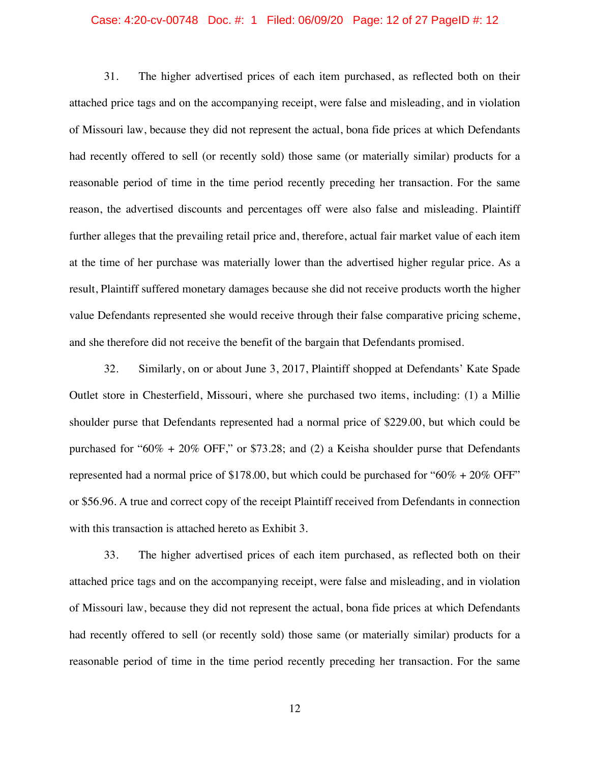### Case: 4:20-cv-00748 Doc. #: 1 Filed: 06/09/20 Page: 12 of 27 PageID #: 12

31. The higher advertised prices of each item purchased, as reflected both on their attached price tags and on the accompanying receipt, were false and misleading, and in violation of Missouri law, because they did not represent the actual, bona fide prices at which Defendants had recently offered to sell (or recently sold) those same (or materially similar) products for a reasonable period of time in the time period recently preceding her transaction. For the same reason, the advertised discounts and percentages off were also false and misleading. Plaintiff further alleges that the prevailing retail price and, therefore, actual fair market value of each item at the time of her purchase was materially lower than the advertised higher regular price. As a result, Plaintiff suffered monetary damages because she did not receive products worth the higher value Defendants represented she would receive through their false comparative pricing scheme, and she therefore did not receive the benefit of the bargain that Defendants promised.

32. Similarly, on or about June 3, 2017, Plaintiff shopped at Defendants' Kate Spade Outlet store in Chesterfield, Missouri, where she purchased two items, including: (1) a Millie shoulder purse that Defendants represented had a normal price of \$229.00, but which could be purchased for "60% + 20% OFF," or \$73.28; and (2) a Keisha shoulder purse that Defendants represented had a normal price of \$178.00, but which could be purchased for " $60\% + 20\%$  OFF" or \$56.96. A true and correct copy of the receipt Plaintiff received from Defendants in connection with this transaction is attached hereto as Exhibit 3.

33. The higher advertised prices of each item purchased, as reflected both on their attached price tags and on the accompanying receipt, were false and misleading, and in violation of Missouri law, because they did not represent the actual, bona fide prices at which Defendants had recently offered to sell (or recently sold) those same (or materially similar) products for a reasonable period of time in the time period recently preceding her transaction. For the same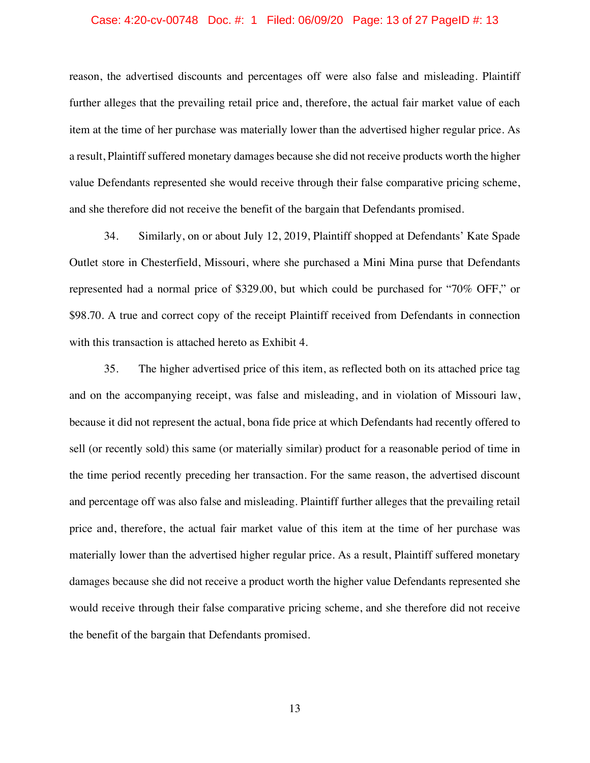#### Case: 4:20-cv-00748 Doc. #: 1 Filed: 06/09/20 Page: 13 of 27 PageID #: 13

reason, the advertised discounts and percentages off were also false and misleading. Plaintiff further alleges that the prevailing retail price and, therefore, the actual fair market value of each item at the time of her purchase was materially lower than the advertised higher regular price. As a result, Plaintiff suffered monetary damages because she did not receive products worth the higher value Defendants represented she would receive through their false comparative pricing scheme, and she therefore did not receive the benefit of the bargain that Defendants promised.

34. Similarly, on or about July 12, 2019, Plaintiff shopped at Defendants' Kate Spade Outlet store in Chesterfield, Missouri, where she purchased a Mini Mina purse that Defendants represented had a normal price of \$329.00, but which could be purchased for "70% OFF," or \$98.70. A true and correct copy of the receipt Plaintiff received from Defendants in connection with this transaction is attached hereto as Exhibit 4.

35. The higher advertised price of this item, as reflected both on its attached price tag and on the accompanying receipt, was false and misleading, and in violation of Missouri law, because it did not represent the actual, bona fide price at which Defendants had recently offered to sell (or recently sold) this same (or materially similar) product for a reasonable period of time in the time period recently preceding her transaction. For the same reason, the advertised discount and percentage off was also false and misleading. Plaintiff further alleges that the prevailing retail price and, therefore, the actual fair market value of this item at the time of her purchase was materially lower than the advertised higher regular price. As a result, Plaintiff suffered monetary damages because she did not receive a product worth the higher value Defendants represented she would receive through their false comparative pricing scheme, and she therefore did not receive the benefit of the bargain that Defendants promised.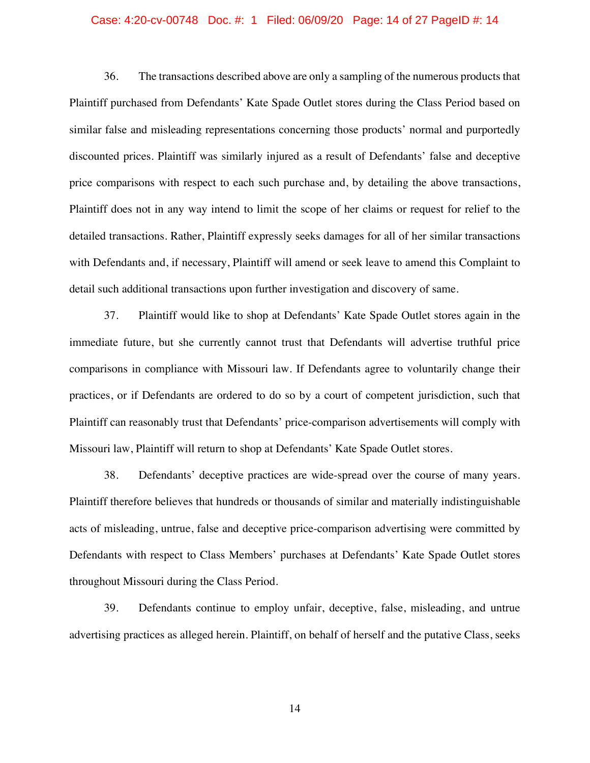#### Case: 4:20-cv-00748 Doc. #: 1 Filed: 06/09/20 Page: 14 of 27 PageID #: 14

36. The transactions described above are only a sampling of the numerous products that Plaintiff purchased from Defendants' Kate Spade Outlet stores during the Class Period based on similar false and misleading representations concerning those products' normal and purportedly discounted prices. Plaintiff was similarly injured as a result of Defendants' false and deceptive price comparisons with respect to each such purchase and, by detailing the above transactions, Plaintiff does not in any way intend to limit the scope of her claims or request for relief to the detailed transactions. Rather, Plaintiff expressly seeks damages for all of her similar transactions with Defendants and, if necessary, Plaintiff will amend or seek leave to amend this Complaint to detail such additional transactions upon further investigation and discovery of same.

37. Plaintiff would like to shop at Defendants' Kate Spade Outlet stores again in the immediate future, but she currently cannot trust that Defendants will advertise truthful price comparisons in compliance with Missouri law. If Defendants agree to voluntarily change their practices, or if Defendants are ordered to do so by a court of competent jurisdiction, such that Plaintiff can reasonably trust that Defendants' price-comparison advertisements will comply with Missouri law, Plaintiff will return to shop at Defendants' Kate Spade Outlet stores.

38. Defendants' deceptive practices are wide-spread over the course of many years. Plaintiff therefore believes that hundreds or thousands of similar and materially indistinguishable acts of misleading, untrue, false and deceptive price-comparison advertising were committed by Defendants with respect to Class Members' purchases at Defendants' Kate Spade Outlet stores throughout Missouri during the Class Period.

39. Defendants continue to employ unfair, deceptive, false, misleading, and untrue advertising practices as alleged herein. Plaintiff, on behalf of herself and the putative Class, seeks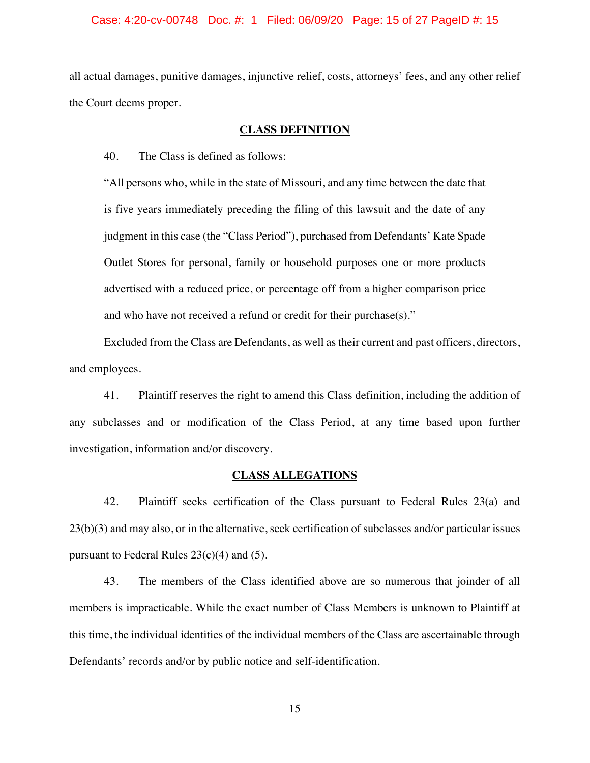#### Case: 4:20-cv-00748 Doc. #: 1 Filed: 06/09/20 Page: 15 of 27 PageID #: 15

all actual damages, punitive damages, injunctive relief, costs, attorneys' fees, and any other relief the Court deems proper.

## **CLASS DEFINITION**

40. The Class is defined as follows:

"All persons who, while in the state of Missouri, and any time between the date that is five years immediately preceding the filing of this lawsuit and the date of any judgment in this case (the "Class Period"), purchased from Defendants' Kate Spade Outlet Stores for personal, family or household purposes one or more products advertised with a reduced price, or percentage off from a higher comparison price and who have not received a refund or credit for their purchase(s)."

Excluded from the Class are Defendants, as well as their current and past officers, directors, and employees.

41. Plaintiff reserves the right to amend this Class definition, including the addition of any subclasses and or modification of the Class Period, at any time based upon further investigation, information and/or discovery.

### **CLASS ALLEGATIONS**

42. Plaintiff seeks certification of the Class pursuant to Federal Rules 23(a) and 23(b)(3) and may also, or in the alternative, seek certification of subclasses and/or particular issues pursuant to Federal Rules 23(c)(4) and (5).

43. The members of the Class identified above are so numerous that joinder of all members is impracticable. While the exact number of Class Members is unknown to Plaintiff at this time, the individual identities of the individual members of the Class are ascertainable through Defendants' records and/or by public notice and self-identification.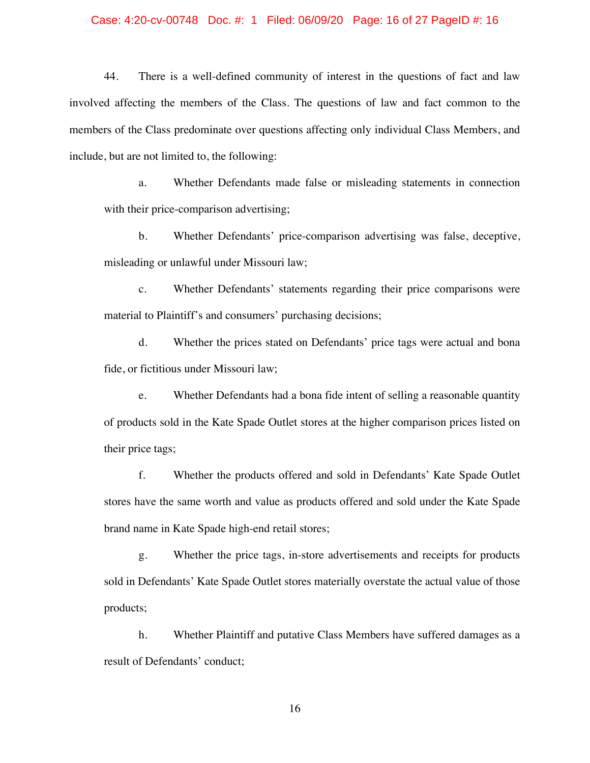#### Case: 4:20-cv-00748 Doc. #: 1 Filed: 06/09/20 Page: 16 of 27 PageID #: 16

44. There is a well-defined community of interest in the questions of fact and law involved affecting the members of the Class. The questions of law and fact common to the members of the Class predominate over questions affecting only individual Class Members, and include, but are not limited to, the following:

a. Whether Defendants made false or misleading statements in connection with their price-comparison advertising;

b. Whether Defendants' price-comparison advertising was false, deceptive, misleading or unlawful under Missouri law;

c. Whether Defendants' statements regarding their price comparisons were material to Plaintiff's and consumers' purchasing decisions;

d. Whether the prices stated on Defendants' price tags were actual and bona fide, or fictitious under Missouri law;

e. Whether Defendants had a bona fide intent of selling a reasonable quantity of products sold in the Kate Spade Outlet stores at the higher comparison prices listed on their price tags;

f. Whether the products offered and sold in Defendants' Kate Spade Outlet stores have the same worth and value as products offered and sold under the Kate Spade brand name in Kate Spade high-end retail stores;

g. Whether the price tags, in-store advertisements and receipts for products sold in Defendants' Kate Spade Outlet stores materially overstate the actual value of those products;

h. Whether Plaintiff and putative Class Members have suffered damages as a result of Defendants' conduct;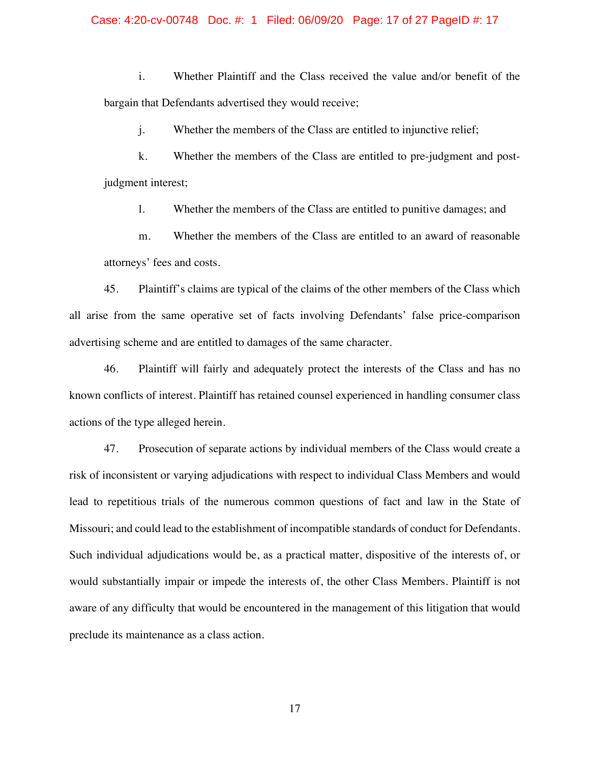#### Case: 4:20-cv-00748 Doc. #: 1 Filed: 06/09/20 Page: 17 of 27 PageID #: 17

i. Whether Plaintiff and the Class received the value and/or benefit of the bargain that Defendants advertised they would receive;

j. Whether the members of the Class are entitled to injunctive relief;

k. Whether the members of the Class are entitled to pre-judgment and postjudgment interest;

l. Whether the members of the Class are entitled to punitive damages; and

m. Whether the members of the Class are entitled to an award of reasonable attorneys' fees and costs.

45. Plaintiff's claims are typical of the claims of the other members of the Class which all arise from the same operative set of facts involving Defendants' false price-comparison advertising scheme and are entitled to damages of the same character.

46. Plaintiff will fairly and adequately protect the interests of the Class and has no known conflicts of interest. Plaintiff has retained counsel experienced in handling consumer class actions of the type alleged herein.

47. Prosecution of separate actions by individual members of the Class would create a risk of inconsistent or varying adjudications with respect to individual Class Members and would lead to repetitious trials of the numerous common questions of fact and law in the State of Missouri; and could lead to the establishment of incompatible standards of conduct for Defendants. Such individual adjudications would be, as a practical matter, dispositive of the interests of, or would substantially impair or impede the interests of, the other Class Members. Plaintiff is not aware of any difficulty that would be encountered in the management of this litigation that would preclude its maintenance as a class action.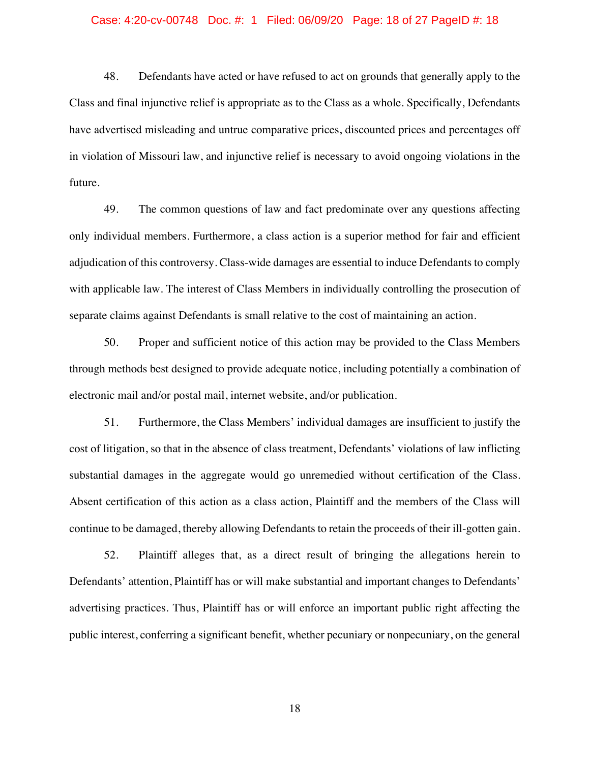#### Case: 4:20-cv-00748 Doc. #: 1 Filed: 06/09/20 Page: 18 of 27 PageID #: 18

48. Defendants have acted or have refused to act on grounds that generally apply to the Class and final injunctive relief is appropriate as to the Class as a whole. Specifically, Defendants have advertised misleading and untrue comparative prices, discounted prices and percentages off in violation of Missouri law, and injunctive relief is necessary to avoid ongoing violations in the future.

49. The common questions of law and fact predominate over any questions affecting only individual members. Furthermore, a class action is a superior method for fair and efficient adjudication of this controversy. Class-wide damages are essential to induce Defendants to comply with applicable law. The interest of Class Members in individually controlling the prosecution of separate claims against Defendants is small relative to the cost of maintaining an action.

50. Proper and sufficient notice of this action may be provided to the Class Members through methods best designed to provide adequate notice, including potentially a combination of electronic mail and/or postal mail, internet website, and/or publication.

51. Furthermore, the Class Members' individual damages are insufficient to justify the cost of litigation, so that in the absence of class treatment, Defendants' violations of law inflicting substantial damages in the aggregate would go unremedied without certification of the Class. Absent certification of this action as a class action, Plaintiff and the members of the Class will continue to be damaged, thereby allowing Defendants to retain the proceeds of their ill-gotten gain.

52. Plaintiff alleges that, as a direct result of bringing the allegations herein to Defendants' attention, Plaintiff has or will make substantial and important changes to Defendants' advertising practices. Thus, Plaintiff has or will enforce an important public right affecting the public interest, conferring a significant benefit, whether pecuniary or nonpecuniary, on the general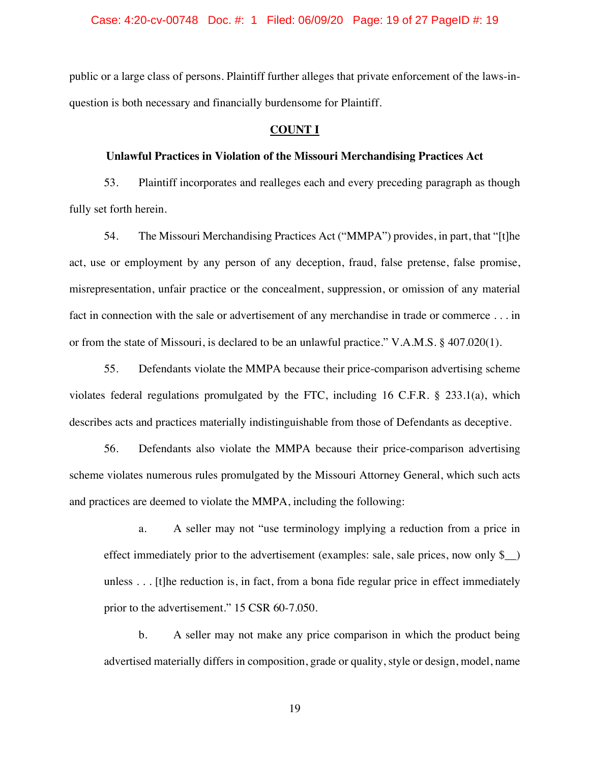public or a large class of persons. Plaintiff further alleges that private enforcement of the laws-inquestion is both necessary and financially burdensome for Plaintiff.

### **COUNT I**

## **Unlawful Practices in Violation of the Missouri Merchandising Practices Act**

53. Plaintiff incorporates and realleges each and every preceding paragraph as though fully set forth herein.

54. The Missouri Merchandising Practices Act ("MMPA") provides, in part, that "[t]he act, use or employment by any person of any deception, fraud, false pretense, false promise, misrepresentation, unfair practice or the concealment, suppression, or omission of any material fact in connection with the sale or advertisement of any merchandise in trade or commerce . . . in or from the state of Missouri, is declared to be an unlawful practice." V.A.M.S. § 407.020(1).

55. Defendants violate the MMPA because their price-comparison advertising scheme violates federal regulations promulgated by the FTC, including 16 C.F.R. § 233.1(a), which describes acts and practices materially indistinguishable from those of Defendants as deceptive.

56. Defendants also violate the MMPA because their price-comparison advertising scheme violates numerous rules promulgated by the Missouri Attorney General, which such acts and practices are deemed to violate the MMPA, including the following:

a. A seller may not "use terminology implying a reduction from a price in effect immediately prior to the advertisement (examples: sale, sale prices, now only  $\S$ ) unless . . . [t]he reduction is, in fact, from a bona fide regular price in effect immediately prior to the advertisement." 15 CSR 60-7.050.

b. A seller may not make any price comparison in which the product being advertised materially differs in composition, grade or quality, style or design, model, name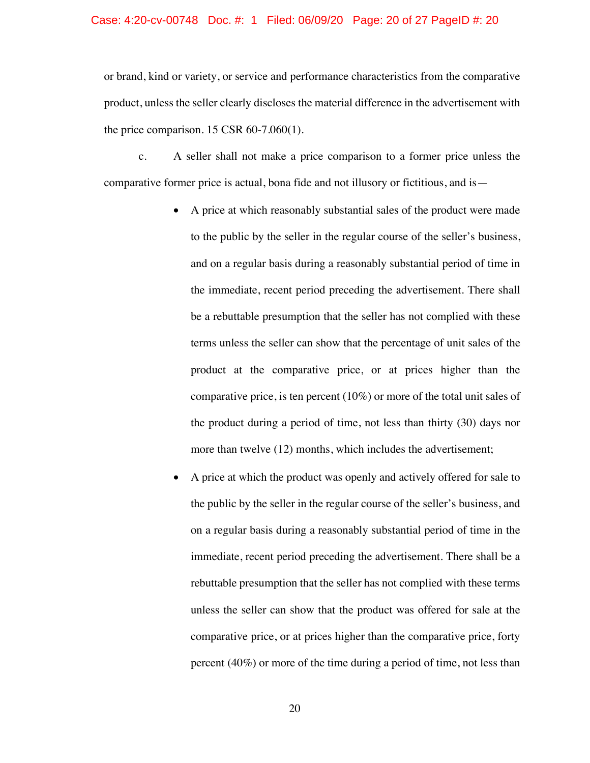#### Case: 4:20-cv-00748 Doc. #: 1 Filed: 06/09/20 Page: 20 of 27 PageID #: 20

or brand, kind or variety, or service and performance characteristics from the comparative product, unless the seller clearly discloses the material difference in the advertisement with the price comparison.  $15 \text{ CSR } 60-7.060(1)$ .

c. A seller shall not make a price comparison to a former price unless the comparative former price is actual, bona fide and not illusory or fictitious, and is—

- A price at which reasonably substantial sales of the product were made to the public by the seller in the regular course of the seller's business, and on a regular basis during a reasonably substantial period of time in the immediate, recent period preceding the advertisement. There shall be a rebuttable presumption that the seller has not complied with these terms unless the seller can show that the percentage of unit sales of the product at the comparative price, or at prices higher than the comparative price, is ten percent (10%) or more of the total unit sales of the product during a period of time, not less than thirty (30) days nor more than twelve (12) months, which includes the advertisement;
- A price at which the product was openly and actively offered for sale to the public by the seller in the regular course of the seller's business, and on a regular basis during a reasonably substantial period of time in the immediate, recent period preceding the advertisement. There shall be a rebuttable presumption that the seller has not complied with these terms unless the seller can show that the product was offered for sale at the comparative price, or at prices higher than the comparative price, forty percent (40%) or more of the time during a period of time, not less than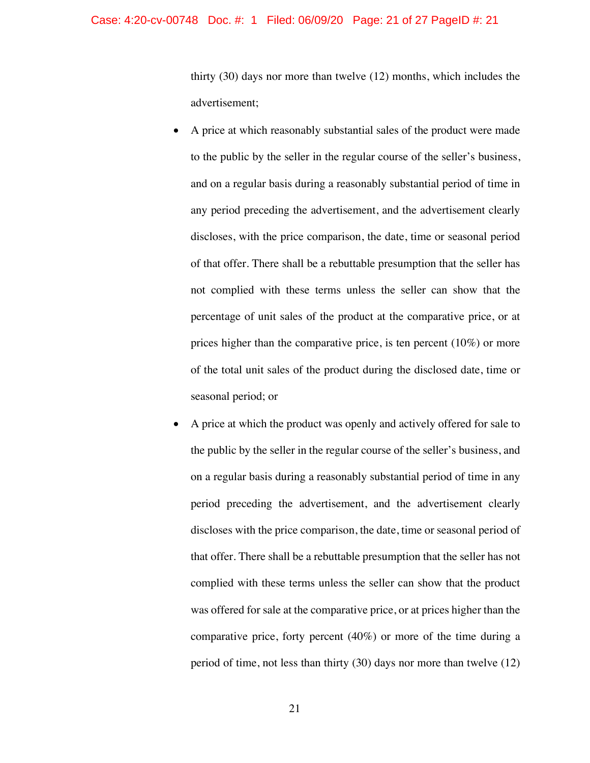### Case: 4:20-cv-00748 Doc. #: 1 Filed: 06/09/20 Page: 21 of 27 PageID #: 21

thirty (30) days nor more than twelve (12) months, which includes the advertisement;

- A price at which reasonably substantial sales of the product were made to the public by the seller in the regular course of the seller's business, and on a regular basis during a reasonably substantial period of time in any period preceding the advertisement, and the advertisement clearly discloses, with the price comparison, the date, time or seasonal period of that offer. There shall be a rebuttable presumption that the seller has not complied with these terms unless the seller can show that the percentage of unit sales of the product at the comparative price, or at prices higher than the comparative price, is ten percent (10%) or more of the total unit sales of the product during the disclosed date, time or seasonal period; or
- A price at which the product was openly and actively offered for sale to the public by the seller in the regular course of the seller's business, and on a regular basis during a reasonably substantial period of time in any period preceding the advertisement, and the advertisement clearly discloses with the price comparison, the date, time or seasonal period of that offer. There shall be a rebuttable presumption that the seller has not complied with these terms unless the seller can show that the product was offered for sale at the comparative price, or at prices higher than the comparative price, forty percent (40%) or more of the time during a period of time, not less than thirty (30) days nor more than twelve (12)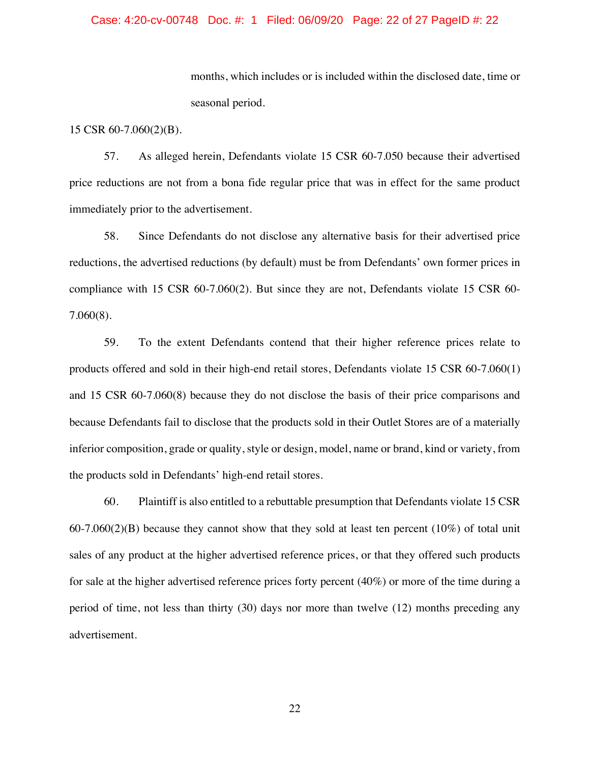### Case: 4:20-cv-00748 Doc. #: 1 Filed: 06/09/20 Page: 22 of 27 PageID #: 22

months, which includes or is included within the disclosed date, time or seasonal period.

15 CSR 60-7.060(2)(B).

57. As alleged herein, Defendants violate 15 CSR 60-7.050 because their advertised price reductions are not from a bona fide regular price that was in effect for the same product immediately prior to the advertisement.

58. Since Defendants do not disclose any alternative basis for their advertised price reductions, the advertised reductions (by default) must be from Defendants' own former prices in compliance with 15 CSR 60-7.060(2). But since they are not, Defendants violate 15 CSR 60- 7.060(8).

59. To the extent Defendants contend that their higher reference prices relate to products offered and sold in their high-end retail stores, Defendants violate 15 CSR 60-7.060(1) and 15 CSR 60-7.060(8) because they do not disclose the basis of their price comparisons and because Defendants fail to disclose that the products sold in their Outlet Stores are of a materially inferior composition, grade or quality, style or design, model, name or brand, kind or variety, from the products sold in Defendants' high-end retail stores.

60. Plaintiff is also entitled to a rebuttable presumption that Defendants violate 15 CSR  $60-7.060(2)(B)$  because they cannot show that they sold at least ten percent (10%) of total unit sales of any product at the higher advertised reference prices, or that they offered such products for sale at the higher advertised reference prices forty percent (40%) or more of the time during a period of time, not less than thirty (30) days nor more than twelve (12) months preceding any advertisement.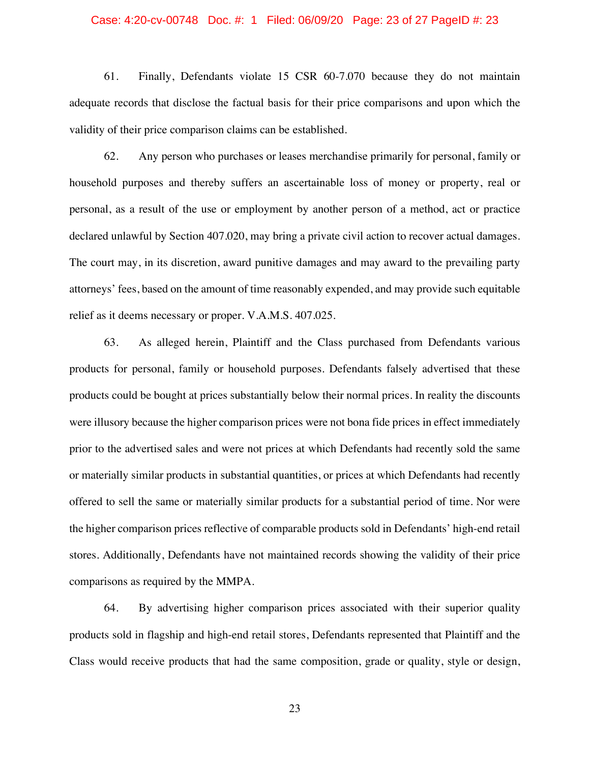#### Case: 4:20-cv-00748 Doc. #: 1 Filed: 06/09/20 Page: 23 of 27 PageID #: 23

61. Finally, Defendants violate 15 CSR 60-7.070 because they do not maintain adequate records that disclose the factual basis for their price comparisons and upon which the validity of their price comparison claims can be established.

62. Any person who purchases or leases merchandise primarily for personal, family or household purposes and thereby suffers an ascertainable loss of money or property, real or personal, as a result of the use or employment by another person of a method, act or practice declared unlawful by Section 407.020, may bring a private civil action to recover actual damages. The court may, in its discretion, award punitive damages and may award to the prevailing party attorneys' fees, based on the amount of time reasonably expended, and may provide such equitable relief as it deems necessary or proper. V.A.M.S. 407.025.

63. As alleged herein, Plaintiff and the Class purchased from Defendants various products for personal, family or household purposes. Defendants falsely advertised that these products could be bought at prices substantially below their normal prices. In reality the discounts were illusory because the higher comparison prices were not bona fide prices in effect immediately prior to the advertised sales and were not prices at which Defendants had recently sold the same or materially similar products in substantial quantities, or prices at which Defendants had recently offered to sell the same or materially similar products for a substantial period of time. Nor were the higher comparison prices reflective of comparable products sold in Defendants' high-end retail stores. Additionally, Defendants have not maintained records showing the validity of their price comparisons as required by the MMPA.

64. By advertising higher comparison prices associated with their superior quality products sold in flagship and high-end retail stores, Defendants represented that Plaintiff and the Class would receive products that had the same composition, grade or quality, style or design,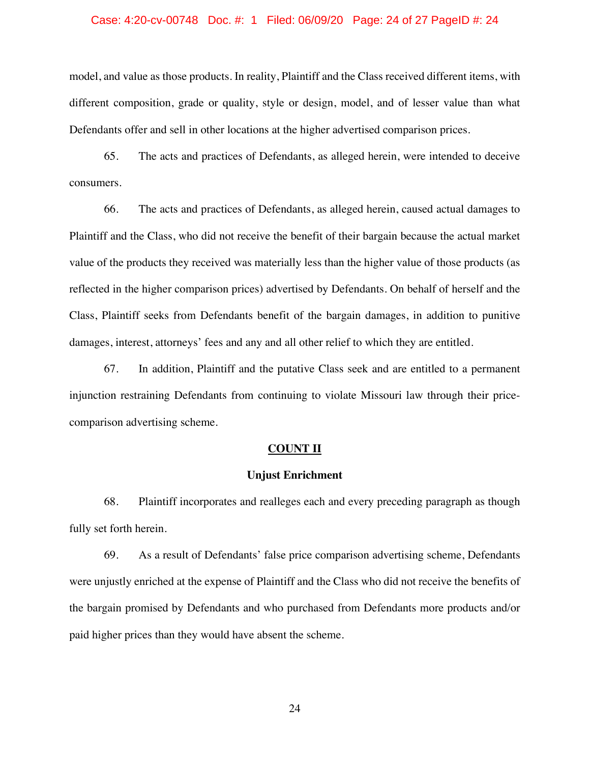#### Case: 4:20-cv-00748 Doc. #: 1 Filed: 06/09/20 Page: 24 of 27 PageID #: 24

model, and value as those products. In reality, Plaintiff and the Class received different items, with different composition, grade or quality, style or design, model, and of lesser value than what Defendants offer and sell in other locations at the higher advertised comparison prices.

65. The acts and practices of Defendants, as alleged herein, were intended to deceive consumers.

66. The acts and practices of Defendants, as alleged herein, caused actual damages to Plaintiff and the Class, who did not receive the benefit of their bargain because the actual market value of the products they received was materially less than the higher value of those products (as reflected in the higher comparison prices) advertised by Defendants. On behalf of herself and the Class, Plaintiff seeks from Defendants benefit of the bargain damages, in addition to punitive damages, interest, attorneys' fees and any and all other relief to which they are entitled.

67. In addition, Plaintiff and the putative Class seek and are entitled to a permanent injunction restraining Defendants from continuing to violate Missouri law through their pricecomparison advertising scheme.

### **COUNT II**

### **Unjust Enrichment**

68. Plaintiff incorporates and realleges each and every preceding paragraph as though fully set forth herein.

69. As a result of Defendants' false price comparison advertising scheme, Defendants were unjustly enriched at the expense of Plaintiff and the Class who did not receive the benefits of the bargain promised by Defendants and who purchased from Defendants more products and/or paid higher prices than they would have absent the scheme.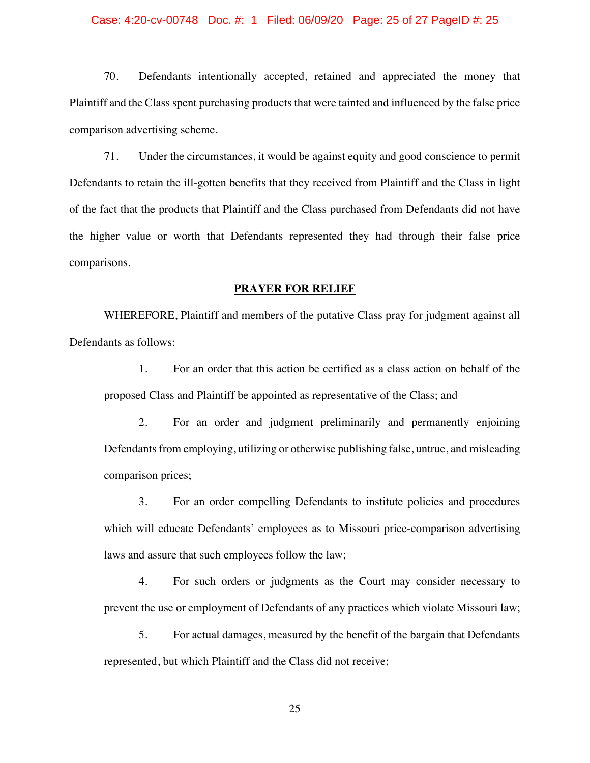#### Case: 4:20-cv-00748 Doc. #: 1 Filed: 06/09/20 Page: 25 of 27 PageID #: 25

70. Defendants intentionally accepted, retained and appreciated the money that Plaintiff and the Class spent purchasing products that were tainted and influenced by the false price comparison advertising scheme.

71. Under the circumstances, it would be against equity and good conscience to permit Defendants to retain the ill-gotten benefits that they received from Plaintiff and the Class in light of the fact that the products that Plaintiff and the Class purchased from Defendants did not have the higher value or worth that Defendants represented they had through their false price comparisons.

### **PRAYER FOR RELIEF**

WHEREFORE, Plaintiff and members of the putative Class pray for judgment against all Defendants as follows:

1. For an order that this action be certified as a class action on behalf of the proposed Class and Plaintiff be appointed as representative of the Class; and

2. For an order and judgment preliminarily and permanently enjoining Defendants from employing, utilizing or otherwise publishing false, untrue, and misleading comparison prices;

3. For an order compelling Defendants to institute policies and procedures which will educate Defendants' employees as to Missouri price-comparison advertising laws and assure that such employees follow the law;

4. For such orders or judgments as the Court may consider necessary to prevent the use or employment of Defendants of any practices which violate Missouri law;

5. For actual damages, measured by the benefit of the bargain that Defendants represented, but which Plaintiff and the Class did not receive;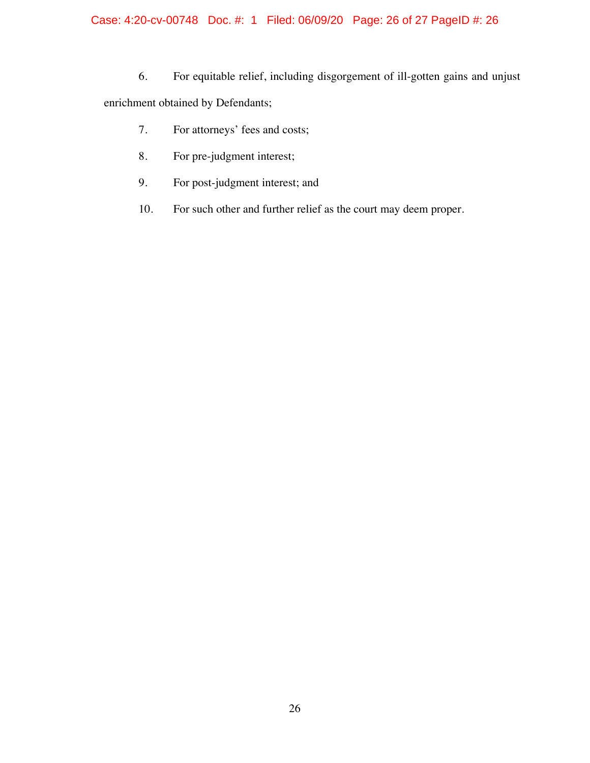# Case: 4:20-cv-00748 Doc. #: 1 Filed: 06/09/20 Page: 26 of 27 PageID #: 26

- 6. For equitable relief, including disgorgement of ill-gotten gains and unjust enrichment obtained by Defendants;
	- 7. For attorneys' fees and costs;
	- 8. For pre-judgment interest;
	- 9. For post-judgment interest; and
	- 10. For such other and further relief as the court may deem proper.